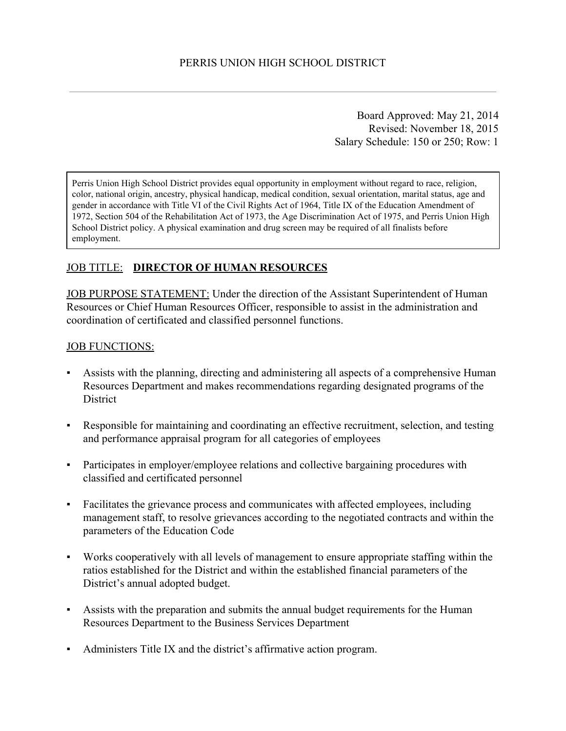Board Approved: May 21, 2014 Revised: November 18, 2015 Salary Schedule: 150 or 250; Row: 1

Perris Union High School District provides equal opportunity in employment without regard to race, religion, color, national origin, ancestry, physical handicap, medical condition, sexual orientation, marital status, age and gender in accordance with Title VI of the Civil Rights Act of 1964, Title IX of the Education Amendment of 1972, Section 504 of the Rehabilitation Act of 1973, the Age Discrimination Act of 1975, and Perris Union High School District policy. A physical examination and drug screen may be required of all finalists before employment.

## JOB TITLE: **DIRECTOR OF HUMAN RESOURCES**

JOB PURPOSE STATEMENT: Under the direction of the Assistant Superintendent of Human Resources or Chief Human Resources Officer, responsible to assist in the administration and coordination of certificated and classified personnel functions.

#### JOB FUNCTIONS:

- Assists with the planning, directing and administering all aspects of a comprehensive Human Resources Department and makes recommendations regarding designated programs of the **District**
- Responsible for maintaining and coordinating an effective recruitment, selection, and testing and performance appraisal program for all categories of employees
- Participates in employer/employee relations and collective bargaining procedures with classified and certificated personnel
- Facilitates the grievance process and communicates with affected employees, including management staff, to resolve grievances according to the negotiated contracts and within the parameters of the Education Code
- Works cooperatively with all levels of management to ensure appropriate staffing within the ratios established for the District and within the established financial parameters of the District's annual adopted budget.
- Assists with the preparation and submits the annual budget requirements for the Human Resources Department to the Business Services Department
- Administers Title IX and the district's affirmative action program.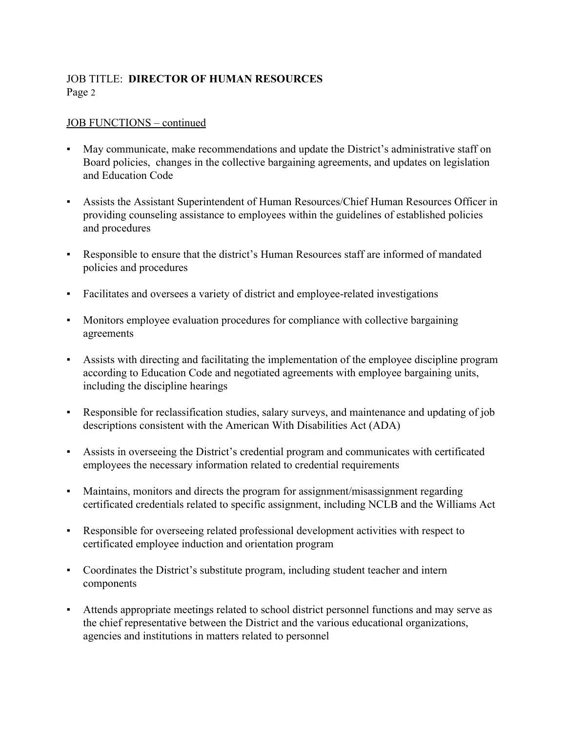## JOB TITLE: **DIRECTOR OF HUMAN RESOURCES** Page 2

#### JOB FUNCTIONS – continued

- May communicate, make recommendations and update the District's administrative staff on Board policies, changes in the collective bargaining agreements, and updates on legislation and Education Code
- Assists the Assistant Superintendent of Human Resources/Chief Human Resources Officer in providing counseling assistance to employees within the guidelines of established policies and procedures
- Responsible to ensure that the district's Human Resources staff are informed of mandated policies and procedures
- Facilitates and oversees a variety of district and employeerelated investigations
- Monitors employee evaluation procedures for compliance with collective bargaining agreements
- Assists with directing and facilitating the implementation of the employee discipline program according to Education Code and negotiated agreements with employee bargaining units, including the discipline hearings
- Responsible for reclassification studies, salary surveys, and maintenance and updating of job descriptions consistent with the American With Disabilities Act (ADA)
- Assists in overseeing the District's credential program and communicates with certificated employees the necessary information related to credential requirements
- Maintains, monitors and directs the program for assignment/misassignment regarding certificated credentials related to specific assignment, including NCLB and the Williams Act
- Responsible for overseeing related professional development activities with respect to certificated employee induction and orientation program
- Coordinates the District's substitute program, including student teacher and intern components
- Attends appropriate meetings related to school district personnel functions and may serve as the chief representative between the District and the various educational organizations, agencies and institutions in matters related to personnel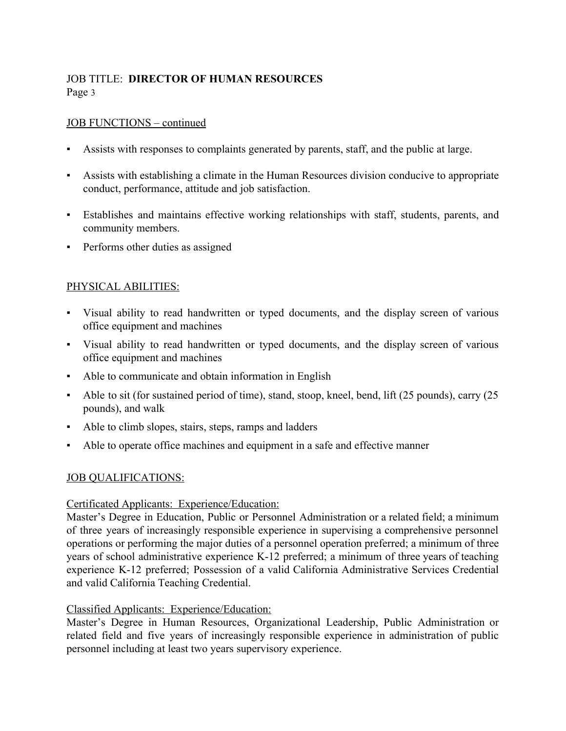## JOB TITLE: **DIRECTOR OF HUMAN RESOURCES** Page 3

### JOB FUNCTIONS – continued

- Assists with responses to complaints generated by parents, staff, and the public at large.
- Assists with establishing a climate in the Human Resources division conducive to appropriate conduct, performance, attitude and job satisfaction.
- Establishes and maintains effective working relationships with staff, students, parents, and community members.
- Performs other duties as assigned

## PHYSICAL ABILITIES:

- Visual ability to read handwritten or typed documents, and the display screen of various office equipment and machines
- Visual ability to read handwritten or typed documents, and the display screen of various office equipment and machines
- Able to communicate and obtain information in English
- Able to sit (for sustained period of time), stand, stoop, kneel, bend, lift (25 pounds), carry (25 pounds), and walk
- Able to climb slopes, stairs, steps, ramps and ladders
- Able to operate office machines and equipment in a safe and effective manner

### JOB QUALIFICATIONS:

### Certificated Applicants: Experience/Education:

Master's Degree in Education, Public or Personnel Administration or a related field; a minimum of three years of increasingly responsible experience in supervising a comprehensive personnel operations or performing the major duties of a personnel operation preferred; a minimum of three years of school administrative experience K-12 preferred; a minimum of three years of teaching experience K12 preferred; Possession of a valid California Administrative Services Credential and valid California Teaching Credential.

### Classified Applicants: Experience/Education:

Master's Degree in Human Resources, Organizational Leadership, Public Administration or related field and five years of increasingly responsible experience in administration of public personnel including at least two years supervisory experience.